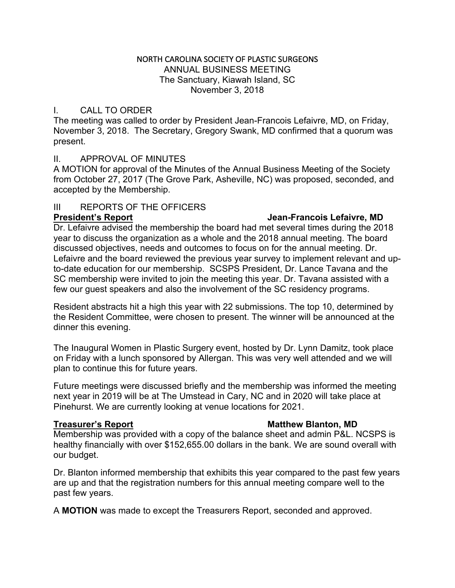## NORTH CAROLINA SOCIETY OF PLASTIC SURGEONS ANNUAL BUSINESS MEETING The Sanctuary, Kiawah Island, SC November 3, 2018

# I. CALL TO ORDER

The meeting was called to order by President Jean-Francois Lefaivre, MD, on Friday, November 3, 2018. The Secretary, Gregory Swank, MD confirmed that a quorum was present.

# II. APPROVAL OF MINUTES

A MOTION for approval of the Minutes of the Annual Business Meeting of the Society from October 27, 2017 (The Grove Park, Asheville, NC) was proposed, seconded, and accepted by the Membership.

# III REPORTS OF THE OFFICERS

### **President's Report Jean-Francois Lefaivre, MD**

Dr. Lefaivre advised the membership the board had met several times during the 2018 year to discuss the organization as a whole and the 2018 annual meeting. The board discussed objectives, needs and outcomes to focus on for the annual meeting. Dr. Lefaivre and the board reviewed the previous year survey to implement relevant and upto-date education for our membership. SCSPS President, Dr. Lance Tavana and the SC membership were invited to join the meeting this year. Dr. Tavana assisted with a few our guest speakers and also the involvement of the SC residency programs.

Resident abstracts hit a high this year with 22 submissions. The top 10, determined by the Resident Committee, were chosen to present. The winner will be announced at the dinner this evening.

The Inaugural Women in Plastic Surgery event, hosted by Dr. Lynn Damitz, took place on Friday with a lunch sponsored by Allergan. This was very well attended and we will plan to continue this for future years.

Future meetings were discussed briefly and the membership was informed the meeting next year in 2019 will be at The Umstead in Cary, NC and in 2020 will take place at Pinehurst. We are currently looking at venue locations for 2021.

## **Treasurer's Report Matthew Blanton, MD**

Membership was provided with a copy of the balance sheet and admin P&L. NCSPS is healthy financially with over \$152,655.00 dollars in the bank. We are sound overall with our budget.

Dr. Blanton informed membership that exhibits this year compared to the past few years are up and that the registration numbers for this annual meeting compare well to the past few years.

A **MOTION** was made to except the Treasurers Report, seconded and approved.